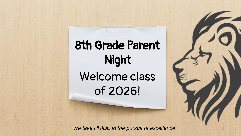# 8th Grade Parent Night Welcome class of 2026!

*"We take PRIDE in the pursuit of excellence"*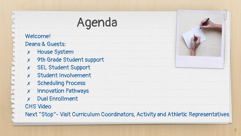# Agenda

Welcome! Deans & Guests:

- ✗ House System
- ✗ 9th Grade Student support
- ✗ SEL Student Support
- ✗ Student Involvement
- ✗ Scheduling Process
- ✗ Innovation Pathways
- ✗ Dual Enrollment

CHS Video

Next "Stop"- Visit Curriculum Coordinators, Activity and Athletic Representatives

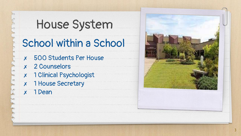# House System

## School within a School

- ✗ 500 Students Per House
- ✗ 2 Counselors
- ✗ 1 Clinical Psychologist
- ✗ 1 House Secretary
- ✗ 1 Dean

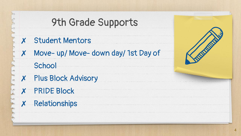## 9th Grade Supports

- ✗ Student Mentors
- ✗ Move- up/ Move- down day/ 1st Day of

**School** 

- ✗ Plus Block Advisory
- ✗ PRIDE Block
- ✗ Relationships

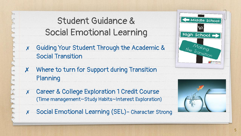#### Student Guidance & Social Emotional Learning

- ✗ Guiding Your Student Through the Academic & Social Transition
- ✗ Where to turn for Support during Transition Planning
- ✗ Career & College Exploration 1 Credit Course (Time management~Study Habits~Interest Exploration)
- ✗ Social Emotional Learning (SEL)- Character Strong



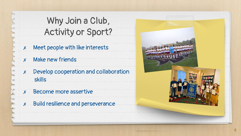### Why Join a Club, Activity or Sport?

- ✗ Meet people with like interests
- ✗ Make new friends
- ✗ Develop cooperation and collaboration skills
- ✗ Become more assertive
- ✗ Build resilience and perseverance

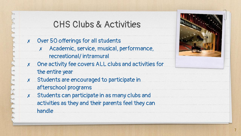#### CHS Clubs & Activities

- ✗ Over 50 offerings for all students
	- ✗ Academic, service, musical, performance, recreational/ intramural
- ✗ One activity fee covers ALL clubs and activities for the entire year
- ✗ Students are encouraged to participate in afterschool programs
- ✗ Students can participate in as many clubs and activities as they and their parents feel they can handle

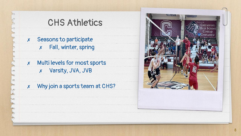### CHS Athletics

- ✗ Seasons to participate ✗ Fall, winter, spring
- ✗ Multi levels for most sports ✗ Varsity, JVA, JVB

✗ Why join a sports team at CHS?

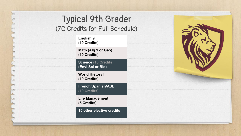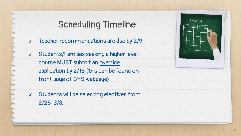#### Scheduling Timeline

- ✗ Teacher recommendations are due by 2/9
- ✗ Students/Families seeking a higher level course MUST submit an override application by 2/16 (this can be found on front page of CHS webpage)
- ✗ Students will be selecting electives from 2/26-3/8.

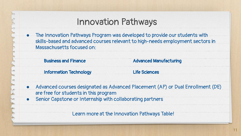#### Innovation Pathways

● The Innovation Pathways Program was developed to provide our students with skills-based and advanced courses relevant to high-needs employment sectors in Massachusetts focused on:

| <b>Business and Finance</b>   | <b>Advanced Manufacturing</b> |
|-------------------------------|-------------------------------|
| <b>Information Technology</b> | <b>Life Sciences</b>          |

- Advanced courses designated as Advanced Placement (AP) or Dual Enrollment (DE) are free for students in this program
- Senior Capstone or Internship with collaborating partners

Learn more at the Innovation Pathways Table!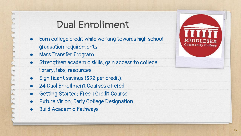### Dual Enrollment

- Earn college credit while working towards high school graduation requirements
- Mass Transfer Program
- Strengthen academic skills, gain access to college library, labs, resources
- Significant savings (\$92 per credit).
- 24 Dual Enrollment Courses offered
- Getting Started: Free 1 Credit Course
- Future Vision: Early College Designation
- Build Academic Pathways

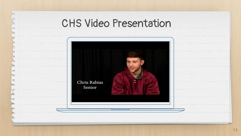